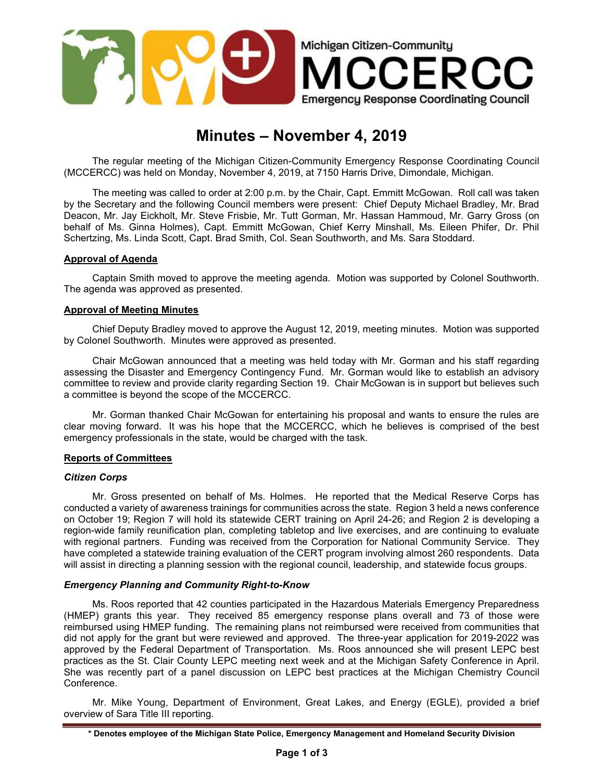

# Minutes – November 4, 2019

The regular meeting of the Michigan Citizen-Community Emergency Response Coordinating Council (MCCERCC) was held on Monday, November 4, 2019, at 7150 Harris Drive, Dimondale, Michigan.

The meeting was called to order at 2:00 p.m. by the Chair, Capt. Emmitt McGowan. Roll call was taken by the Secretary and the following Council members were present: Chief Deputy Michael Bradley, Mr. Brad Deacon, Mr. Jay Eickholt, Mr. Steve Frisbie, Mr. Tutt Gorman, Mr. Hassan Hammoud, Mr. Garry Gross (on behalf of Ms. Ginna Holmes), Capt. Emmitt McGowan, Chief Kerry Minshall, Ms. Eileen Phifer, Dr. Phil Schertzing, Ms. Linda Scott, Capt. Brad Smith, Col. Sean Southworth, and Ms. Sara Stoddard.

### Approval of Agenda

Captain Smith moved to approve the meeting agenda. Motion was supported by Colonel Southworth. The agenda was approved as presented.

## Approval of Meeting Minutes

Chief Deputy Bradley moved to approve the August 12, 2019, meeting minutes. Motion was supported by Colonel Southworth. Minutes were approved as presented.

Chair McGowan announced that a meeting was held today with Mr. Gorman and his staff regarding assessing the Disaster and Emergency Contingency Fund. Mr. Gorman would like to establish an advisory committee to review and provide clarity regarding Section 19. Chair McGowan is in support but believes such a committee is beyond the scope of the MCCERCC.

Mr. Gorman thanked Chair McGowan for entertaining his proposal and wants to ensure the rules are clear moving forward. It was his hope that the MCCERCC, which he believes is comprised of the best emergency professionals in the state, would be charged with the task.

# Reports of Committees

# Citizen Corps

Mr. Gross presented on behalf of Ms. Holmes. He reported that the Medical Reserve Corps has conducted a variety of awareness trainings for communities across the state. Region 3 held a news conference on October 19; Region 7 will hold its statewide CERT training on April 24-26; and Region 2 is developing a region-wide family reunification plan, completing tabletop and live exercises, and are continuing to evaluate with regional partners. Funding was received from the Corporation for National Community Service. They have completed a statewide training evaluation of the CERT program involving almost 260 respondents. Data will assist in directing a planning session with the regional council, leadership, and statewide focus groups.

# Emergency Planning and Community Right-to-Know

Ms. Roos reported that 42 counties participated in the Hazardous Materials Emergency Preparedness (HMEP) grants this year. They received 85 emergency response plans overall and 73 of those were reimbursed using HMEP funding. The remaining plans not reimbursed were received from communities that did not apply for the grant but were reviewed and approved. The three-year application for 2019-2022 was approved by the Federal Department of Transportation. Ms. Roos announced she will present LEPC best practices as the St. Clair County LEPC meeting next week and at the Michigan Safety Conference in April. She was recently part of a panel discussion on LEPC best practices at the Michigan Chemistry Council Conference.

Mr. Mike Young, Department of Environment, Great Lakes, and Energy (EGLE), provided a brief overview of Sara Title III reporting.

<sup>\*</sup> Denotes employee of the Michigan State Police, Emergency Management and Homeland Security Division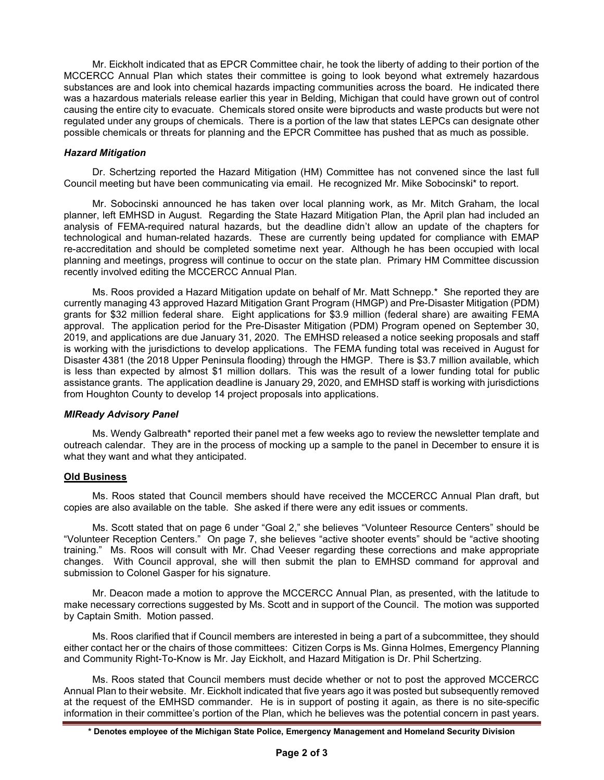Mr. Eickholt indicated that as EPCR Committee chair, he took the liberty of adding to their portion of the MCCERCC Annual Plan which states their committee is going to look beyond what extremely hazardous substances are and look into chemical hazards impacting communities across the board. He indicated there was a hazardous materials release earlier this year in Belding, Michigan that could have grown out of control causing the entire city to evacuate. Chemicals stored onsite were biproducts and waste products but were not regulated under any groups of chemicals. There is a portion of the law that states LEPCs can designate other possible chemicals or threats for planning and the EPCR Committee has pushed that as much as possible.

# Hazard Mitigation

Dr. Schertzing reported the Hazard Mitigation (HM) Committee has not convened since the last full Council meeting but have been communicating via email. He recognized Mr. Mike Sobocinski\* to report.

Mr. Sobocinski announced he has taken over local planning work, as Mr. Mitch Graham, the local planner, left EMHSD in August. Regarding the State Hazard Mitigation Plan, the April plan had included an analysis of FEMA-required natural hazards, but the deadline didn't allow an update of the chapters for technological and human-related hazards. These are currently being updated for compliance with EMAP re-accreditation and should be completed sometime next year. Although he has been occupied with local planning and meetings, progress will continue to occur on the state plan. Primary HM Committee discussion recently involved editing the MCCERCC Annual Plan.

Ms. Roos provided a Hazard Mitigation update on behalf of Mr. Matt Schnepp.\* She reported they are currently managing 43 approved Hazard Mitigation Grant Program (HMGP) and Pre-Disaster Mitigation (PDM) grants for \$32 million federal share. Eight applications for \$3.9 million (federal share) are awaiting FEMA approval. The application period for the Pre-Disaster Mitigation (PDM) Program opened on September 30, 2019, and applications are due January 31, 2020. The EMHSD released a notice seeking proposals and staff is working with the jurisdictions to develop applications. The FEMA funding total was received in August for Disaster 4381 (the 2018 Upper Peninsula flooding) through the HMGP. There is \$3.7 million available, which is less than expected by almost \$1 million dollars. This was the result of a lower funding total for public assistance grants. The application deadline is January 29, 2020, and EMHSD staff is working with jurisdictions from Houghton County to develop 14 project proposals into applications.

# MIReady Advisory Panel

Ms. Wendy Galbreath\* reported their panel met a few weeks ago to review the newsletter template and outreach calendar. They are in the process of mocking up a sample to the panel in December to ensure it is what they want and what they anticipated.

# Old Business

Ms. Roos stated that Council members should have received the MCCERCC Annual Plan draft, but copies are also available on the table. She asked if there were any edit issues or comments.

Ms. Scott stated that on page 6 under "Goal 2," she believes "Volunteer Resource Centers" should be "Volunteer Reception Centers." On page 7, she believes "active shooter events" should be "active shooting training." Ms. Roos will consult with Mr. Chad Veeser regarding these corrections and make appropriate changes. With Council approval, she will then submit the plan to EMHSD command for approval and submission to Colonel Gasper for his signature.

Mr. Deacon made a motion to approve the MCCERCC Annual Plan, as presented, with the latitude to make necessary corrections suggested by Ms. Scott and in support of the Council. The motion was supported by Captain Smith. Motion passed.

Ms. Roos clarified that if Council members are interested in being a part of a subcommittee, they should either contact her or the chairs of those committees: Citizen Corps is Ms. Ginna Holmes, Emergency Planning and Community Right-To-Know is Mr. Jay Eickholt, and Hazard Mitigation is Dr. Phil Schertzing.

Ms. Roos stated that Council members must decide whether or not to post the approved MCCERCC Annual Plan to their website. Mr. Eickholt indicated that five years ago it was posted but subsequently removed at the request of the EMHSD commander. He is in support of posting it again, as there is no site-specific information in their committee's portion of the Plan, which he believes was the potential concern in past years.

<sup>\*</sup> Denotes employee of the Michigan State Police, Emergency Management and Homeland Security Division